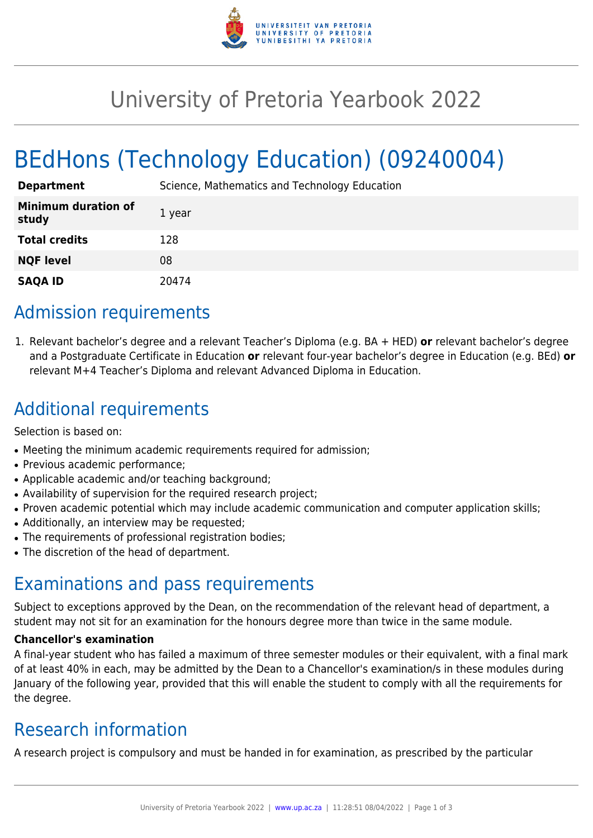

## University of Pretoria Yearbook 2022

# BEdHons (Technology Education) (09240004)

| <b>Department</b>                   | Science, Mathematics and Technology Education |
|-------------------------------------|-----------------------------------------------|
| <b>Minimum duration of</b><br>study | 1 year                                        |
| <b>Total credits</b>                | 128                                           |
| <b>NQF level</b>                    | 08                                            |
| <b>SAQA ID</b>                      | 20474                                         |

### Admission requirements

1. Relevant bachelor's degree and a relevant Teacher's Diploma (e.g. BA + HED) **or** relevant bachelor's degree and a Postgraduate Certificate in Education **or** relevant four-year bachelor's degree in Education (e.g. BEd) **or** relevant M+4 Teacher's Diploma and relevant Advanced Diploma in Education.

### Additional requirements

Selection is based on:

- Meeting the minimum academic requirements required for admission;
- Previous academic performance;
- Applicable academic and/or teaching background;
- Availability of supervision for the required research project;
- Proven academic potential which may include academic communication and computer application skills;
- Additionally, an interview may be requested;
- The requirements of professional registration bodies;
- The discretion of the head of department.

### Examinations and pass requirements

Subject to exceptions approved by the Dean, on the recommendation of the relevant head of department, a student may not sit for an examination for the honours degree more than twice in the same module.

#### **Chancellor's examination**

A final-year student who has failed a maximum of three semester modules or their equivalent, with a final mark of at least 40% in each, may be admitted by the Dean to a Chancellor's examination/s in these modules during January of the following year, provided that this will enable the student to comply with all the requirements for the degree.

### Research information

A research project is compulsory and must be handed in for examination, as prescribed by the particular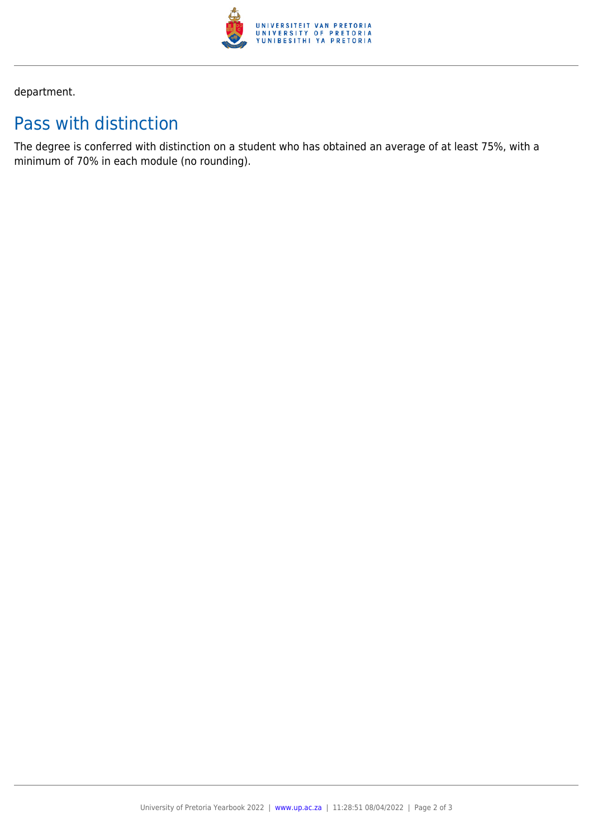

department.

### Pass with distinction

The degree is conferred with distinction on a student who has obtained an average of at least 75%, with a minimum of 70% in each module (no rounding).